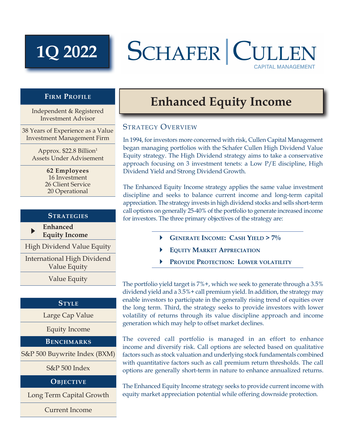# **1Q 2022**

## SCHAFER CULL **CAPITAL MANAGEMENT**

### **Firm Profile**

Independent & Registered Investment Advisor

38 Years of Experience as a Value Investment Management Firm

> Approx. \$22.8 Billion1 Assets Under Advisement

> > **62 Employees** 16 Investment 26 Client Service 20 Operational

#### **Strategies**

 $\blacktriangleright$  **Enhanced Equity Income**

High Dividend Value Equity

International High Dividend Value Equity

Value Equity

#### **Style**

Large Cap Value

Equity Income

**Benchmarks**

S&P 500 Buywrite Index (BXM)

S&P 500 Index

**Objective**

Long Term Capital Growth

Current Income

## **Enhanced Equity Income**

### STRATEGY OVERVIEW

In 1994, for investors more concerned with risk, Cullen Capital Management began managing portfolios with the Schafer Cullen High Dividend Value Equity strategy. The High Dividend strategy aims to take a conservative approach focusing on 3 investment tenets: a Low P/E discipline, High Dividend Yield and Strong Dividend Growth.

The Enhanced Equity Income strategy applies the same value investment discipline and seeks to balance current income and long-term capital appreciation. The strategy invests in high dividend stocks and sells short-term call options on generally 25-40% of the portfolio to generate increased income for investors. The three primary objectives of the strategy are:

- } **Generate Income: Cash Yield > 7%**
- } **Equity Market Appreciation**
- } **Provide Protection: Lower volatility**

The portfolio yield target is 7%+, which we seek to generate through a 3.5% dividend yield and a 3.5%+ call premium yield. In addition, the strategy may enable investors to participate in the generally rising trend of equities over the long term. Third, the strategy seeks to provide investors with lower volatility of returns through its value discipline approach and income generation which may help to offset market declines.

The covered call portfolio is managed in an effort to enhance income and diversify risk. Call options are selected based on qualitative factors such as stock valuation and underlying stock fundamentals combined with quantitative factors such as call premium return thresholds. The call options are generally short-term in nature to enhance annualized returns.

The Enhanced Equity Income strategy seeks to provide current income with equity market appreciation potential while offering downside protection.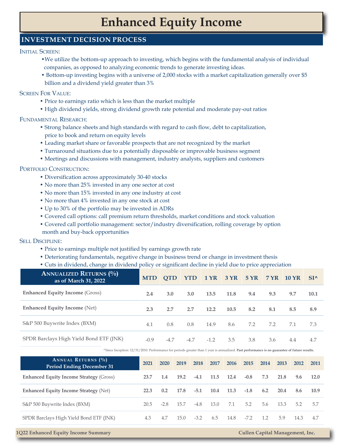## **Enhanced Equity Income**

### **INVESTMENT DECISION PROCESS**

INITIAL SCREEN:

- •We utilize the bottom-up approach to investing, which begins with the fundamental analysis of individual companies, as opposed to analyzing economic trends to generate investing ideas.
- Bottom-up investing begins with a universe of 2,000 stocks with a market capitalization generally over \$5 billion and a dividend yield greater than 3%

#### Screen For Value:

- Price to earnings ratio which is less than the market multiple
- High dividend yields, strong dividend growth rate potential and moderate pay-out ratios

#### Fundamental Research:

- Strong balance sheets and high standards with regard to cash flow, debt to capitalization, price to book and return on equity levels
- Leading market share or favorable prospects that are not recognized by the market
- Turnaround situations due to a potentially disposable or improvable business segment
- Meetings and discussions with management, industry analysts, suppliers and customers

#### PORTFOLIO CONSTRUCTION:

- Diversification across approximately 30-40 stocks
- No more than 25% invested in any one sector at cost
- No more than 15% invested in any one industry at cost
- No more than 4% invested in any one stock at cost
- Up to 30% of the portfolio may be invested in ADRs
- Covered call options: call premium return thresholds, market conditions and stock valuation
- Covered call portfolio management: sector/industry diversification, rolling coverage by option
- month and buy-back opportunities

#### Sell Discipline:

- Price to earnings multiple not justified by earnings growth rate
- Deteriorating fundamentals, negative change in business trend or change in investment thesis
- Cuts in dividend, change in dividend policy or significant decline in yield due to price appreciation

| <b>ANNUALIZED RETURNS (%)</b><br>as of March 31, 2022 | MTD OTD |        |        |        |      |     | 5 YR 7 YR 10 YR |     | $SI^{\wedge}$ |
|-------------------------------------------------------|---------|--------|--------|--------|------|-----|-----------------|-----|---------------|
| <b>Enhanced Equity Income (Gross)</b>                 | 2.4     | 3.0    | 3.0    | 13.5   | 11.8 | 9.4 | 9.3             | 9.7 | 10.1          |
| <b>Enhanced Equity Income (Net)</b>                   | 2.3     | 2.7    | 2.7    | 12.2   | 10.5 | 8.2 | 8.1             | 8.5 | 8.9           |
| S&P 500 Buywrite Index (BXM)                          | 4.1     | 0.8    | 0.8    | 14.9   | 8.6  | 7.2 | 7.2             | 7.1 | 7.3           |
| SPDR Barclays High Yield Bond ETF (JNK)               | $-0.9$  | $-4.7$ | $-4.7$ | $-1.2$ | 3.5  | 3.8 | 3.6             | 4.4 | 4.7           |

^Since Inception: 12/31/2010. Performance for periods greater than 1 year is annualized. **Past performance is no guarantee of future results.** 

| <b>ANNUAL RETURNS</b> (%)<br><b>Period Ending December 31</b> | 2021 | 2020   | 2019 | 2018   | 2017 | 2016 | 2015   | 2014 | 2013 | 2012 | 2011 |
|---------------------------------------------------------------|------|--------|------|--------|------|------|--------|------|------|------|------|
| <b>Enhanced Equity Income Strategy (Gross)</b>                | 23.7 | 1.4    | 19.2 | $-4.1$ | 11.5 | 12.4 | $-0.8$ | 7.3  | 21.8 | 9.6  | 12.0 |
| <b>Enhanced Equity Income Strategy (Net)</b>                  | 22.3 | 0.2    | 17.8 | $-5.1$ | 10.4 | 11.3 | $-1.8$ | 6.2  | 20.4 | 8.6  | 10.9 |
| S&P 500 Buywrite Index (BXM)                                  | 20.5 | $-2.8$ | 15.7 | $-4.8$ | 13.0 | 7.1  | 5.2    | 5.6  | 13.3 | 5.2  | 5.7  |
| SPDR Barclays High Yield Bond ETF (JNK)                       | 4.3  | 4.7    | 15.0 | $-3.2$ | 6.5  | 14.8 | $-7.2$ | 1.2  | 5.9  | 14.3 | 4.7  |

#### **1Q22 Enhanced Equity Income Summary Cullen Capital Management, Inc.**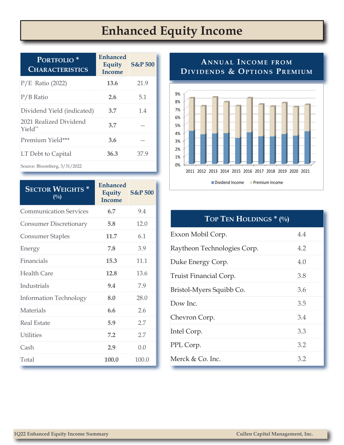## **Enhanced Equity Income**

| PORTFOLIO <sup>*</sup><br><b>CHARACTERISTICS</b> | <b>Enhanced</b><br>Equity<br>Income | <b>S&amp;P 500</b> |
|--------------------------------------------------|-------------------------------------|--------------------|
| $P/E$ Ratio (2022)                               | 13.6                                | 21.9               |
| $P/B$ Ratio                                      | 2.6                                 | 5.1                |
| Dividend Yield (indicated)                       | 3.7                                 | 1.4                |
| 2021 Realized Dividend<br>Yield <sup>**</sup>    | 3.7                                 |                    |
| Premium Yield***                                 | 3.6                                 |                    |
| LT Debt to Capital                               | 36.3                                | 37.9               |
| Source: Bloomberg, 3/31/2022                     |                                     |                    |

| <b>SECTOR WEIGHTS*</b><br>$\binom{0}{0}$ | <b>Enhanced</b><br><b>Equity</b><br><b>Income</b> | <b>S&amp;P 500</b> |
|------------------------------------------|---------------------------------------------------|--------------------|
| <b>Communication Services</b>            | 6.7                                               | 9.4                |
| <b>Consumer Discretionary</b>            | 5.8                                               | 12.0               |
| <b>Consumer Staples</b>                  | 11.7                                              | 6.1                |
| Energy                                   | 7.8                                               | 3.9                |
| Financials                               | 15.3                                              | 11.1               |
| Health Care                              | 12.8                                              | 13.6               |
| <b>Industrials</b>                       | 9.4                                               | 7.9                |
| <b>Information Technology</b>            | 8.0                                               | 28.0               |
| <b>Materials</b>                         | 6.6                                               | 2.6                |
| Real Estate                              | 5.9                                               | 2.7                |
| <b>Utilities</b>                         | 7.2                                               | 2.7                |
| Cash                                     | 2.9                                               | 0.0                |
| Total                                    | 100.0                                             | 100.0              |

### **ANNUAL INCOME FROM** DIVIDENDS & OPTIONS PREMIUM



| TOP TEN HOLDINGS * (%)      |     |
|-----------------------------|-----|
| Exxon Mobil Corp.           | 4.4 |
| Raytheon Technologies Corp. | 4.2 |
| Duke Energy Corp.           | 4.0 |
| Truist Financial Corp.      | 3.8 |
| Bristol-Myers Squibb Co.    | 3.6 |
| Dow Inc.                    | 3.5 |
| Chevron Corp.               | 3.4 |
| Intel Corp.                 | 3.3 |
| PPL Corp.                   | 3.2 |
| Merck & Co. Inc.            | 3.2 |